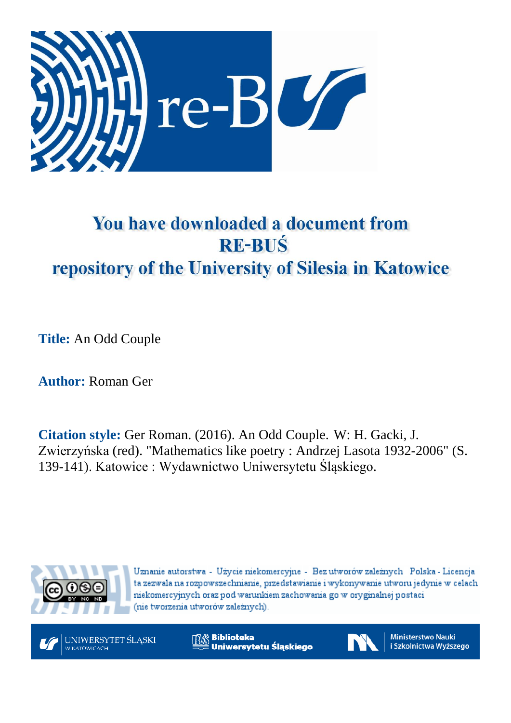

## You have downloaded a document from **RE-BUŚ** repository of the University of Silesia in Katowice

**Title:** An Odd Couple

**Author:** Roman Ger

**Citation style:** Ger Roman. (2016). An Odd Couple. W: H. Gacki, J. [Zwierzyńska](http://katalog.nukat.edu.pl/search/query?match_1=PHRASE&field_1=at&term_1=Zwierzy%C5%84ska,+Joanna.&theme=nukat) (red). "Mathematics like poetry : Andrzej Lasota 1932-2006" (S. 139-141). Katowice : Wydawnictwo Uniwersytetu Śląskiego.



Uznanie autorstwa - Użycie niekomercyjne - Bez utworów zależnych Polska - Licencja ta zezwala na rozpowszechnianie, przedstawianie i wykonywanie utworu jedynie w celach niekomercyjnych oraz pod warunkiem zachowania go w oryginalnej postaci (nie tworzenia utworów zależnych).



**Biblioteka** Uniwersytetu Śląskiego



Ministerstwo Nauki i Szkolnictwa Wyższego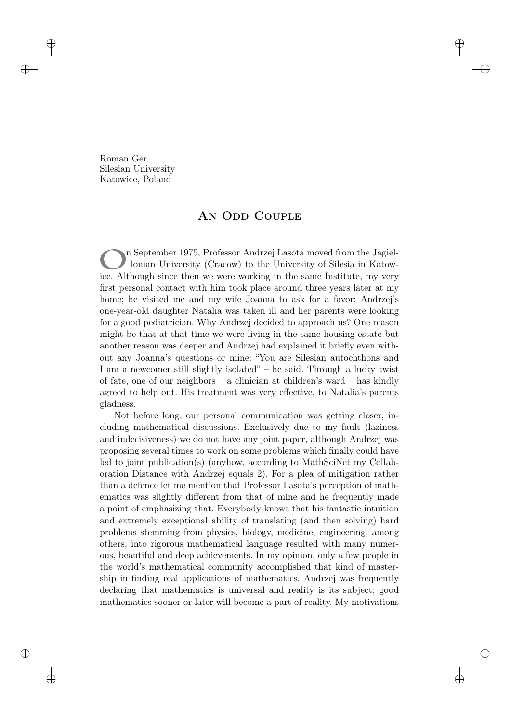Roman Ger Silesian University Katowice, Poland

## AN ODD COUPLE

o n September 1975, Professor Andrzej Lasota moved from the Jagiellonian University (Cracow) to the University of Silesia in Katowice. Although since then we were working in the same Institute, my very first personal contact with him took place around three years later at my home; he visited me and my wife Joanna to ask for a favor: Andrzej's one-year-old daughter Natalia was taken ill and her parents were looking for a good pediatrician. Why Andrzej decided to approach us? One reason might be that at that time we were living in the same housing estate but another reason was deeper and Andrzej had explained it briefly even without any Joanna's questions or mine: "You are Silesian autochthons and I am a newcomer still slightly isolated" – he said. Through a lucky twist of fate, one of our neighbors – a clinician at children's ward – has kindly agreed to help out. His treatment was very effective, to Natalia's parents gladness.

Not before long, our personal communication was getting closer, including mathematical discussions. Exclusively due to my fault (laziness and indecisiveness) we do not have any joint paper, although Andrzej was proposing several times to work on some problems which finally could have led to joint publication(s) (anyhow, according to MathSciNet my Collaboration Distance with Andrzej equals 2). For a plea of mitigation rather than a defence let me mention that Professor Lasota's perception of mathematics was slightly different from that of mine and he frequently made a point of emphasizing that. Everybody knows that his fantastic intuition and extremely exceptional ability of translating (and then solving) hard problems stemming from physics, biology, medicine, engineering, among others, into rigorous mathematical language resulted with many numerous, beautiful and deep achievements. In my opinion, only a few people in the world's mathematical community accomplished that kind of mastership in finding real applications of mathematics. Andrzej was frequently declaring that mathematics is universal and reality is its subject; good mathematics sooner or later will become a part of reality. My motivations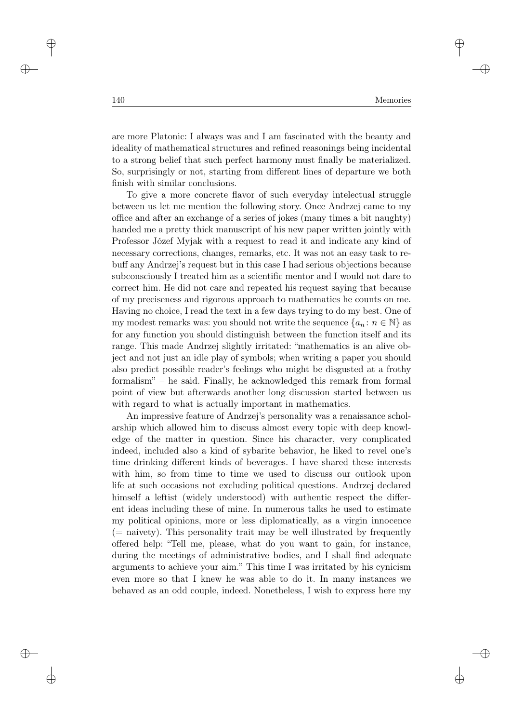are more Platonic: I always was and I am fascinated with the beauty and ideality of mathematical structures and refined reasonings being incidental to a strong belief that such perfect harmony must finally be materialized. So, surprisingly or not, starting from different lines of departure we both finish with similar conclusions.

To give a more concrete flavor of such everyday intelectual struggle between us let me mention the following story. Once Andrzej came to my office and after an exchange of a series of jokes (many times a bit naughty) handed me a pretty thick manuscript of his new paper written jointly with Professor Józef Myjak with a request to read it and indicate any kind of necessary corrections, changes, remarks, etc. It was not an easy task to rebuff any Andrzej's request but in this case I had serious objections because subconsciously I treated him as a scientific mentor and I would not dare to correct him. He did not care and repeated his request saying that because of my preciseness and rigorous approach to mathematics he counts on me. Having no choice, I read the text in a few days trying to do my best. One of my modest remarks was: you should not write the sequence  $\{a_n : n \in \mathbb{N}\}\$ as for any function you should distinguish between the function itself and its range. This made Andrzej slightly irritated: "mathematics is an alive object and not just an idle play of symbols; when writing a paper you should also predict possible reader's feelings who might be disgusted at a frothy formalism" – he said. Finally, he acknowledged this remark from formal point of view but afterwards another long discussion started between us with regard to what is actually important in mathematics.

An impressive feature of Andrzej's personality was a renaissance scholarship which allowed him to discuss almost every topic with deep knowledge of the matter in question. Since his character, very complicated indeed, included also a kind of sybarite behavior, he liked to revel one's time drinking different kinds of beverages. I have shared these interests with him, so from time to time we used to discuss our outlook upon life at such occasions not excluding political questions. Andrzej declared himself a leftist (widely understood) with authentic respect the different ideas including these of mine. In numerous talks he used to estimate my political opinions, more or less diplomatically, as a virgin innocence  $(=$  naivety). This personality trait may be well illustrated by frequently offered help: "Tell me, please, what do you want to gain, for instance, during the meetings of administrative bodies, and I shall find adequate arguments to achieve your aim." This time I was irritated by his cynicism even more so that I knew he was able to do it. In many instances we behaved as an odd couple, indeed. Nonetheless, I wish to express here my